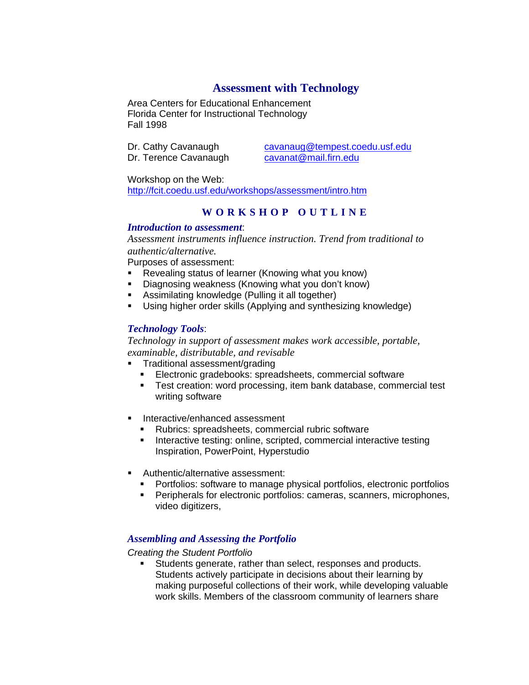# **Assessment with Technology**

Area Centers for Educational Enhancement Florida Center for Instructional Technology Fall 1998

Dr. Terence Cavanaugh

Dr. Cathy Cavanaugh cavanaug@tempest.coedu.usf.edu<br>Dr. Terence Cavanaugh cavanat@mail.firn.edu

Workshop on the Web: http://fcit.coedu.usf.edu/workshops/assessment/intro.htm

# **WORKSHOP OUTLINE**

## *Introduction to assessment*:

*Assessment instruments influence instruction. Trend from traditional to authentic/alternative.*

Purposes of assessment:

- Revealing status of learner (Knowing what you know)
- **•** Diagnosing weakness (Knowing what you don't know)
- **BED Assimilating knowledge (Pulling it all together)**
- Using higher order skills (Applying and synthesizing knowledge)

## *Technology Tools*:

*Technology in support of assessment makes work accessible, portable, examinable, distributable, and revisable*

- ß Traditional assessment/grading
	- **Electronic gradebooks: spreadsheets, commercial software**
	- **F** Test creation: word processing, item bank database, commercial test writing software
- **Interactive/enhanced assessment** 
	- Rubrics: spreadsheets, commercial rubric software
	- **Interactive testing: online, scripted, commercial interactive testing** Inspiration, PowerPoint, Hyperstudio
- **Authentic/alternative assessment:** 
	- **•** Portfolios: software to manage physical portfolios, electronic portfolios
	- **•** Peripherals for electronic portfolios: cameras, scanners, microphones, video digitizers,

## *Assembling and Assessing the Portfolio*

#### *Creating the Student Portfolio*

**Students generate, rather than select, responses and products.** Students actively participate in decisions about their learning by making purposeful collections of their work, while developing valuable work skills. Members of the classroom community of learners share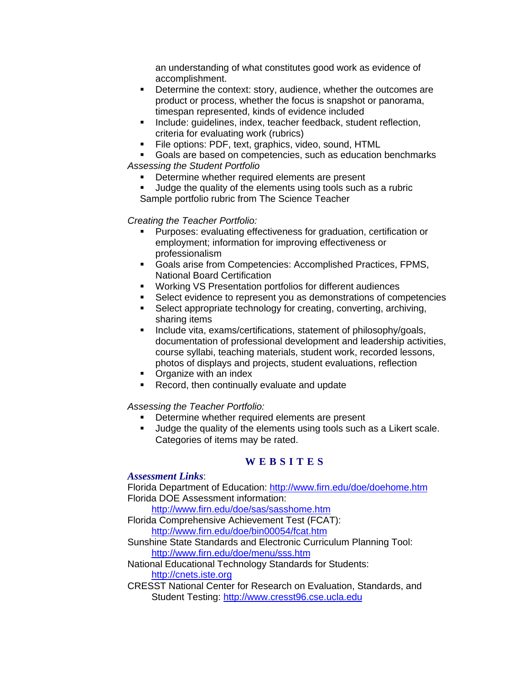an understanding of what constitutes good work as evidence of accomplishment.

- **•** Determine the context: story, audience, whether the outcomes are product or process, whether the focus is snapshot or panorama, timespan represented, kinds of evidence included
- **EXEDENT Include: guidelines, index, teacher feedback, student reflection,** criteria for evaluating work (rubrics)
- **File options: PDF, text, graphics, video, sound, HTML**
- Goals are based on competencies, such as education benchmarks *Assessing the Student Portfolio*
	- Determine whether required elements are present
	- **Judge the quality of the elements using tools such as a rubric** Sample portfolio rubric from The Science Teacher

*Creating the Teacher Portfolio:*

- ß Purposes: evaluating effectiveness for graduation, certification or employment; information for improving effectiveness or professionalism
- **Goals arise from Competencies: Accomplished Practices, FPMS,** National Board Certification
- **Working VS Presentation portfolios for different audiences**
- **Select evidence to represent you as demonstrations of competencies**
- **Select appropriate technology for creating, converting, archiving,** sharing items
- **Include vita, exams/certifications, statement of philosophy/goals,** documentation of professional development and leadership activities, course syllabi, teaching materials, student work, recorded lessons, photos of displays and projects, student evaluations, reflection
- Organize with an index
- Record, then continually evaluate and update

## *Assessing the Teacher Portfolio:*

- **•** Determine whether required elements are present
- ß Judge the quality of the elements using tools such as a Likert scale. Categories of items may be rated.

## **WEBSITES**

#### *Assessment Links*:

Florida Department of Education: http://www.firn.edu/doe/doehome.htm Florida DOE Assessment information:

http://www.firn.edu/doe/sas/sasshome.htm

- Florida Comprehensive Achievement Test (FCAT): http://www.firn.edu/doe/bin00054/fcat.htm
- Sunshine State Standards and Electronic Curriculum Planning Tool: http://www.firn.edu/doe/menu/sss.htm
- National Educational Technology Standards for Students: http://cnets.iste.org
- CRESST National Center for Research on Evaluation, Standards, and Student Testing: http://www.cresst96.cse.ucla.edu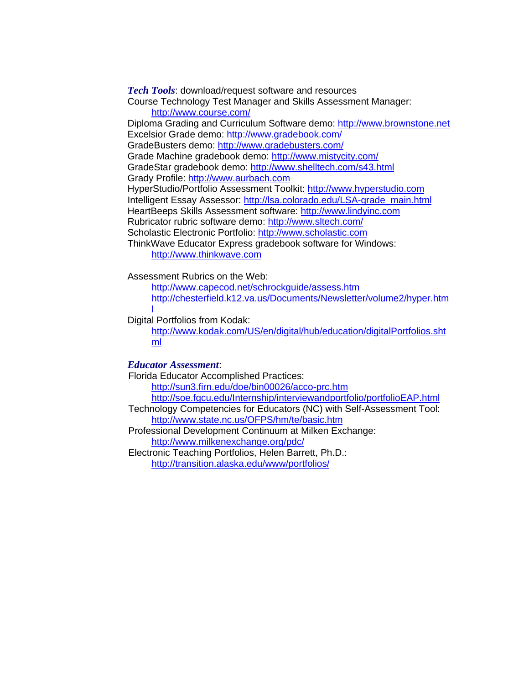*Tech Tools*: download/request software and resources Course Technology Test Manager and Skills Assessment Manager: http://www.course.com/ Diploma Grading and Curriculum Software demo: http://www.brownstone.net Excelsior Grade demo: http://www.gradebook.com/ GradeBusters demo: http://www.gradebusters.com/ Grade Machine gradebook demo: http://www.mistycity.com/ GradeStar gradebook demo: http://www.shelltech.com/s43.html Grady Profile: http://www.aurbach.com HyperStudio/Portfolio Assessment Toolkit: http://www.hyperstudio.com Intelligent Essay Assessor: http://lsa.colorado.edu/LSA-grade\_main.html HeartBeeps Skills Assessment software: http://www.lindyinc.com Rubricator rubric software demo: http://www.sltech.com/ Scholastic Electronic Portfolio: http://www.scholastic.com ThinkWave Educator Express gradebook software for Windows: http://www.thinkwave.com

Assessment Rubrics on the Web:

http://www.capecod.net/schrockguide/assess.htm http://chesterfield.k12.va.us/Documents/Newsletter/volume2/hyper.htm

Digital Portfolios from Kodak:

http://www.kodak.com/US/en/digital/hub/education/digitalPortfolios.sht ml

#### *Educator Assessment*:

l

Florida Educator Accomplished Practices: http://sun3.firn.edu/doe/bin00026/acco-prc.htm http://soe.fgcu.edu/Internship/interviewandportfolio/portfolioEAP.html Technology Competencies for Educators (NC) with Self-Assessment Tool: http://www.state.nc.us/OFPS/hm/te/basic.htm Professional Development Continuum at Milken Exchange: http://www.milkenexchange.org/pdc/ Electronic Teaching Portfolios, Helen Barrett, Ph.D.: http://transition.alaska.edu/www/portfolios/